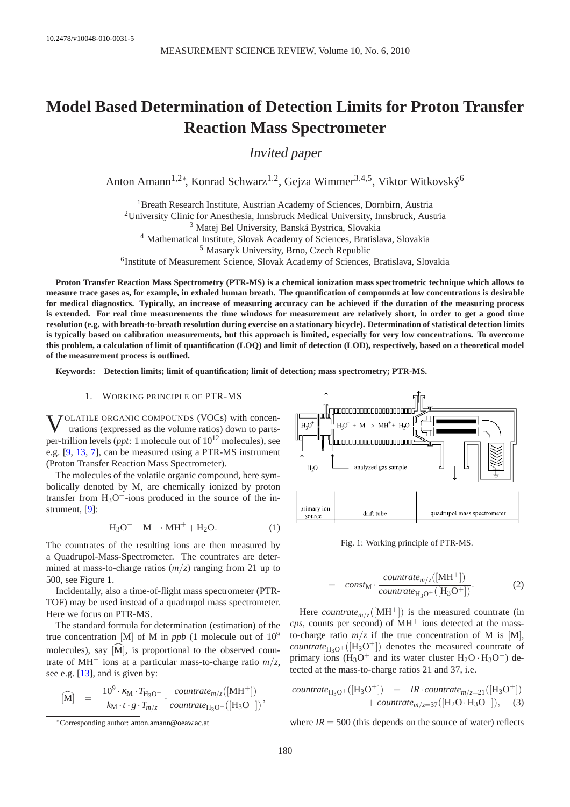# **Model Based Determination of Detection Limits for Proton Transfer Reaction Mass Spectrometer**

Invited paper

Anton Amann<sup>1,2∗</sup>, Konrad Schwarz<sup>1,2</sup>, Gejza Wimmer<sup>3,4,5</sup>, Viktor Witkovský<sup>6</sup>

<sup>1</sup> Breath Research Institute, Austrian Academy of Sciences, Dornbirn, Austria <sup>2</sup>University Clinic for Anesthesia, Innsbruck Medical University, Innsbruck, Austria

<sup>3</sup> Matej Bel University, Banská Bystrica, Slovakia

<sup>4</sup> Mathematical Institute, Slovak Academy of Sciences, Bratislava, Slovakia

<sup>5</sup> Masaryk University, Brno, Czech Republic

6 Institute of Measurement Science, Slovak Academy of Sciences, Bratislava, Slovakia

**Proton Transfer Reaction Mass Spectrometry (PTR-MS) is a chemical ionization mass spectrometric technique which allows to measure trace gases as, for example, in exhaled human breath. The quantification of compounds at low concentrations is desirable for medical diagnostics. Typically, an increase of measuring accuracy can be achieved if the duration of the measuring process is extended. For real time measurements the time windows for measurement are relatively short, in order to get a good time resolution (e.g. with breath-to-breath resolution during exercise on a stationary bicycle). Determination of statistical detection limits is typically based on calibration measurements, but this approach is limited, especially for very low concentrations. To overcome this problem, a calculation of limit of quantification (LOQ) and limit of detection (LOD), respectively, based on a theoretical model of the measurement process is outlined.**

**Keywords: Detection limits; limit of quantification; limit of detection; mass spectrometry; PTR-MS.**

# 1. WORKING PRINCIPLE OF PTR-MS

**V**OLATILE ORGANIC COMPOUNDS (VOCs) with concentrations (expressed as the volume ratios) down to partstrations (expressed as the volume ratios) down to partsper-trillion levels (*ppt*: 1 molecule out of 10<sup>12</sup> molecules), see e.g. [\[9,](#page-8-0) [13,](#page-8-1) [7\]](#page-8-2), can be measured using a PTR-MS instrument (Proton Transfer Reaction Mass Spectrometer).

The molecules of the volatile organic compound, here symbolically denoted by M, are chemically ionized by proton transfer from  $H_3O^+$ -ions produced in the source of the instrument, [\[9\]](#page-8-0):

<span id="page-0-1"></span>
$$
H_3O^+ + M \to MH^+ + H_2O.
$$
 (1)

The countrates of the resulting ions are then measured by a Quadrupol-Mass-Spectrometer. The countrates are determined at mass-to-charge ratios (*m*/*z*) ranging from 21 up to 500, see Figure [1.](#page-0-0)

Incidentally, also a time-of-flight mass spectrometer (PTR-TOF) may be used instead of a quadrupol mass spectrometer. Here we focus on PTR-MS.

The standard formula for determination (estimation) of the true concentration [M] of M in *ppb* (1 molecule out of  $10^9$ molecules), say  $[M]$ , is proportional to the observed countrate of MH<sup>+</sup> ions at a particular mass-to-charge ratio  $m/z$ , see e.g. [\[13\]](#page-8-1), and is given by:

<span id="page-0-2"></span>
$$
\begin{array}{rcl} \widehat{[M]} & = & \frac{10^9 \cdot \kappa_{\mathrm{M}} \cdot T_{\mathrm{H}_3\mathrm{O}^+}}{k_{\mathrm{M}} \cdot t \cdot g \cdot T_{m/z}} \cdot \frac{countrate_{m/z}([\mathrm{MH}^+])}{countrate_{\mathrm{H}_3\mathrm{O}^+}([\mathrm{H}_3\mathrm{O}^+])}, \end{array}
$$

<span id="page-0-0"></span>

Fig. 1: Working principle of PTR-MS.

$$
= \text{const}_{\mathbf{M}} \cdot \frac{\text{countrate}_{m/z}([\mathbf{M}\mathbf{H}^+])}{\text{countrate}_{\mathbf{H}_3\mathbf{O}^+}([\mathbf{H}_3\mathbf{O}^+])}.
$$
 (2)

Here *countrate*<sub> $m/z$ </sub>([MH<sup>+</sup>]) is the measured countrate (in  $cps$ , counts per second) of  $MH<sup>+</sup>$  ions detected at the massto-charge ratio  $m/z$  if the true concentration of M is [M],  $countrate_{H_3O^+}([H_3O^+])$  denotes the measured countrate of primary ions  $(H_3O^+)$  and its water cluster  $H_2O \cdot H_3O^+$ ) detected at the mass-to-charge ratios 21 and 37, i.e.

 $countrate_{H_3O^+}([H_3O^+])$  = *IR*·  $countrate_{m/z=21}([H_3O^+])$  $+ countrate_{m/z=37}([H_2O \cdot H_3O^+]),$  (3)

where  $IR = 500$  (this depends on the source of water) reflects

<sup>∗</sup>Corresponding author: [anton.amann@oeaw.ac.at](mailto:anton.amann@oeaw.ac.at)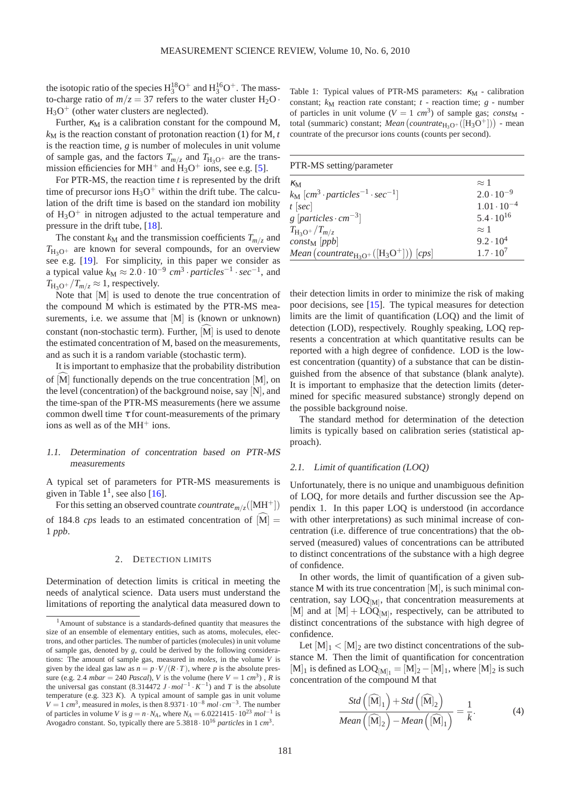the isotopic ratio of the species  $H_3^{18}O^+$  and  $H_3^{16}O^+$ . The massto-charge ratio of  $m/z = 37$  refers to the water cluster  $H_2O$ .  $H_3O^+$  (other water clusters are neglected).

Further,  $\kappa_M$  is a calibration constant for the compound M,  $k_M$  is the reaction constant of protonation reaction [\(1\)](#page-0-1) for M,  $t$ is the reaction time, *g* is number of molecules in unit volume of sample gas, and the factors  $T_{m/z}$  and  $T_{H3O^+}$  are the transmission efficiencies for MH<sup>+</sup> and  $H_3O^+$  ions, see e.g. [\[5\]](#page-7-0).

For PTR-MS, the reaction time *t* is represented by the drift time of precursor ions  $H_3O^+$  within the drift tube. The calculation of the drift time is based on the standard ion mobility of  $H_3O^+$  in nitrogen adjusted to the actual temperature and pressure in the drift tube, [\[18\]](#page-8-3).

The constant  $k_M$  and the transmission coefficients  $T_{m/z}$  and  $T_{H_2O^+}$  are known for several compounds, for an overview see e.g. [\[19\]](#page-8-4). For simplicity, in this paper we consider as a typical value  $k_\text{M} \approx 2.0 \cdot 10^{-9} \text{ cm}^3 \cdot \text{particles}^{-1} \cdot \text{sec}^{-1}$ , and  $T_{\text{H}_2\text{O}^+}/T_{m/z} \approx 1$ , respectively.

Note that [M] is used to denote the true concentration of the compound M which is estimated by the PTR-MS measurements, i.e. we assume that [M] is (known or unknown) constant (non-stochastic term). Further,  $\tilde{[M]}$  is used to denote the estimated concentration of M, based on the measurements, and as such it is a random variable (stochastic term).

It is important to emphasize that the probability distribution of  $[M]$  functionally depends on the true concentration  $[M]$ , on the level (concentration) of the background noise, say [N], and the time-span of the PTR-MS measurements (here we assume common dwell time  $\tau$  for count-measurements of the primary ions as well as of the MH<sup>+</sup> ions.

# 1.1. Determination of concentration based on PTR-MS measurements

A typical set of parameters for PTR-MS measurements is given in Table  $1<sup>1</sup>$  $1<sup>1</sup>$ , see also [\[16\]](#page-8-5).

For this setting an observed countrate *countrate*<sub>*m*/*z*</sub>([MH<sup>+</sup>])

of 184.8 *cps* leads to an estimated concentration of  $\tilde{M}$  = 1 *ppb*.

## 2. DETECTION LIMITS

Determination of detection limits is critical in meeting the needs of analytical science. Data users must understand the limitations of reporting the analytical data measured down to

<span id="page-1-0"></span>Table 1: Typical values of PTR-MS parameters:  $\kappa_M$  - calibration constant;  $k_M$  reaction rate constant;  $t$  - reaction time;  $g$  - number of particles in unit volume  $(V = 1 \text{ cm}^3)$  of sample gas; *const*<sub>M</sub> total (summaric) constant; *Mean* (*countrate*<sub>H<sub>3</sub>O+([H<sub>3</sub>O<sup>+</sup>])) - mean</sub> countrate of the precursor ions counts (counts per second).

| PTR-MS setting/parameter                                                                                         |                      |
|------------------------------------------------------------------------------------------------------------------|----------------------|
| $\kappa_{\rm M}$                                                                                                 | $\approx$ 1          |
| $k_{\rm M}$ [cm <sup>3</sup> · particles <sup>-1</sup> · sec <sup>-1</sup> ]                                     | $2.0 \cdot 10^{-9}$  |
| $t$ [sec]                                                                                                        | $1.01 \cdot 10^{-4}$ |
| g $[particles \cdot cm^{-3}]$                                                                                    | $5.4 \cdot 10^{16}$  |
| $T_{\rm H_3O^+}/T_{m/z}$                                                                                         | $\approx$ 1          |
| $constM$ [ppb]                                                                                                   | $9.2 \cdot 10^{4}$   |
| <i>Mean</i> ( <i>countrate</i> <sub>H<sub>3</sub>O<sup>+</sup>([H<sub>3</sub>O<sup>+</sup>])) [<i>cps</i>]</sub> | $1.7 \cdot 10^{7}$   |

their detection limits in order to minimize the risk of making poor decisions, see [\[15\]](#page-8-6). The typical measures for detection limits are the limit of quantification (LOQ) and the limit of detection (LOD), respectively. Roughly speaking, LOQ represents a concentration at which quantitative results can be reported with a high degree of confidence. LOD is the lowest concentration (quantity) of a substance that can be distinguished from the absence of that substance (blank analyte). It is important to emphasize that the detection limits (determined for specific measured substance) strongly depend on the possible background noise.

The standard method for determination of the detection limits is typically based on calibration series (statistical approach).

## 2.1. Limit of quantification (LOQ)

Unfortunately, there is no unique and unambiguous definition of LOQ, for more details and further discussion see the Appendix 1. In this paper LOQ is understood (in accordance with other interpretations) as such minimal increase of concentration (i.e. difference of true concentrations) that the observed (measured) values of concentrations can be attributed to distinct concentrations of the substance with a high degree of confidence.

In other words, the limit of quantification of a given substance M with its true concentration [M], is such minimal concentration, say LOQ<sub>[M]</sub>, that concentration measurements at [M] and at  $[M] + \text{LOQ}_{[M]}$ , respectively, can be attributed to distinct concentrations of the substance with high degree of confidence.

Let  $[M]_1 < [M]_2$  are two distinct concentrations of the substance M. Then the limit of quantification for concentration [M]<sub>1</sub> is defined as  $LOQ_{[M]_1} = [M]_2 - [M]_1$ , where  $[M]_2$  is such concentration of the compound M that

<span id="page-1-2"></span>
$$
\frac{Std\left(\widehat{[M]}_1\right) + Std\left(\widehat{[M]}_2\right)}{Mean\left(\widehat{[M]}_2\right) - Mean\left(\widehat{[M]}_1\right)} = \frac{1}{k}.
$$
\n(4)

<span id="page-1-1"></span><sup>&</sup>lt;sup>1</sup>Amount of substance is a standards-defined quantity that measures the size of an ensemble of elementary entities, such as atoms, molecules, electrons, and other particles. The number of particles (molecules) in unit volume of sample gas, denoted by *g*, could be derived by the following considerations: The amount of sample gas, measured in *moles*, in the volume *V* is given by the ideal gas law as  $n = p \cdot V / (R \cdot T)$ , where p is the absolute pressure (e.g. 2.4 *mbar* = 240 *Pascal*), *V* is the volume (here  $V = 1$  *cm*<sup>3</sup>), *R* is the universal gas constant  $(8.314472 \text{ J} \cdot \text{mol}^{-1} \cdot \text{K}^{-1})$  and *T* is the absolute temperature (e.g. 323 *K*). A typical amount of sample gas in unit volume  $V = 1$  *cm*<sup>3</sup>, measured in *moles*, is then 8.9371 ·  $10^{-8}$  *mol*· $cm^{-3}$ . The number of particles in volume *V* is  $g = n \cdot N_A$ , where  $N_A = 6.0221415 \cdot 10^{23}$   $mol^{-1}$  is Avogadro constant. So, typically there are  $5.3818 \cdot 10^{16}$  *particles* in 1 *cm*<sup>3</sup>.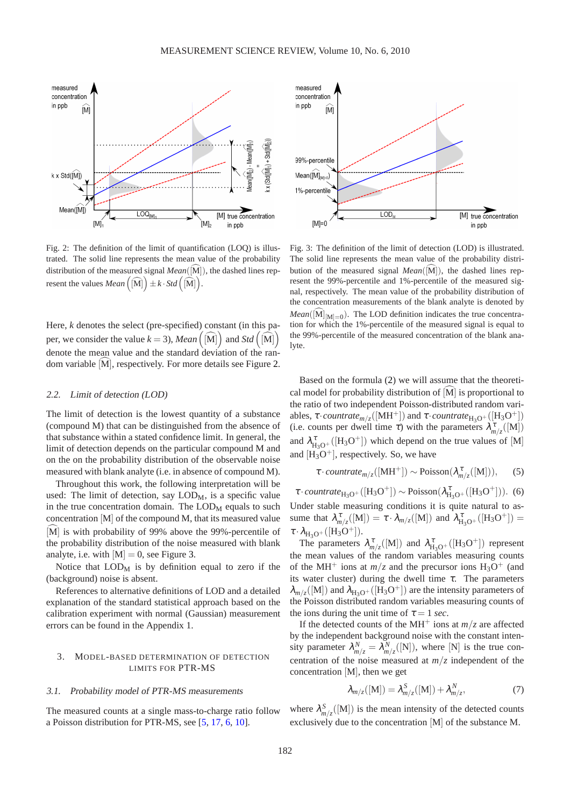<span id="page-2-0"></span>

Fig. 2: The definition of the limit of quantification (LOQ) is illustrated. The solid line represents the mean value of the probability distribution of the measured signal  $Mean([M])$ , the dashed lines represent the values  $Mean\left(\widehat{[M]}\right) \pm k \cdot Std\left(\widehat{[M]}\right)$ .

Here, *k* denotes the select (pre-specified) constant (in this paper, we consider the value  $k = 3$ ), *Mean*  $((\widehat{M})^T)$  and *Std*  $((\widehat{M})^T)$ denote the mean value and the standard deviation of the random variable  $[M]$ , respectively. For more details see Figure [2.](#page-2-0)

## 2.2. Limit of detection (LOD)

The limit of detection is the lowest quantity of a substance (compound M) that can be distinguished from the absence of that substance within a stated confidence limit. In general, the limit of detection depends on the particular compound M and on the on the probability distribution of the observable noise measured with blank analyte (i.e. in absence of compound M).

Throughout this work, the following interpretation will be used: The limit of detection, say  $\text{LOD}_M$ , is a specific value in the true concentration domain. The  $\text{LOD}_M$  equals to such concentration [M] of the compound M, that its measured value  $\widehat{M}$  is with probability of 99% above the 99%-percentile of the probability distribution of the noise measured with blank analyte, i.e. with  $[M] = 0$ , see Figure [3.](#page-2-1)

Notice that  $LOD<sub>M</sub>$  is by definition equal to zero if the (background) noise is absent.

References to alternative definitions of LOD and a detailed explanation of the standard statistical approach based on the calibration experiment with normal (Gaussian) measurement errors can be found in the Appendix 1.

# 3. MODEL-BASED DETERMINATION OF DETECTION LIMITS FOR PTR-MS

## 3.1. Probability model of PTR-MS measurements

The measured counts at a single mass-to-charge ratio follow a Poisson distribution for PTR-MS, see [\[5,](#page-7-0) [17,](#page-8-7) [6,](#page-7-1) [10\]](#page-8-8).

<span id="page-2-1"></span>

Fig. 3: The definition of the limit of detection (LOD) is illustrated. The solid line represents the mean value of the probability distribution of the measured signal  $Mean([M])$ , the dashed lines represent the 99%-percentile and 1%-percentile of the measured signal, respectively. The mean value of the probability distribution of the concentration measurements of the blank analyte is denoted by  $Mean([M]_{[M]=0})$ . The LOD definition indicates the true concentration for which the 1%-percentile of the measured signal is equal to the 99%-percentile of the measured concentration of the blank analyte.

Based on the formula [\(2\)](#page-0-2) we will assume that the theoretical model for probability distribution of  $\tilde{M}$  is proportional to the ratio of two independent Poisson-distributed random variables,  $\tau \cdot countrate_{m/z}([MH^+])$  and  $\tau \cdot countrate_{H_3O^+}([H_3O^+])$ (i.e. counts per dwell time  $\tau$ ) with the parameters  $\lambda_{m/z}^{\tau}([M])$ and  $\lambda_{H_3O^+}^{\tau}([H_3O^+])$  which depend on the true values of [M] and  $[H_3O^+]$ , respectively. So, we have

$$
\tau \cdot countrate_{m/z}([MH^+]) \sim \text{Poisson}(\lambda_{m/z}^{\tau}([M])),\qquad(5)
$$

 $\tau \cdot countrate_{H_3O^+}([H_3O^+]) \sim \text{Poisson}(\lambda_{H_3O^+}^{\tau}([H_3O^+]))$ . (6) Under stable measuring conditions it is quite natural to assume that  $\lambda_{m/z}^{\tau}([M]) = \tau \cdot \lambda_{m/z}([M])$  and  $\lambda_{H_3O^+}^{\tau}([H_3O^+]) =$  $\tau \cdot \lambda_{H_3O^+}([H_3O^+]).$ 

The parameters  $\lambda_{m/z}^{\tau}([M])$  and  $\lambda_{H_3O^+}^{\tau}([H_3O^+])$  represent the mean values of the random variables measuring counts of the MH<sup>+</sup> ions at  $m/z$  and the precursor ions  $H_3O^+$  (and its water cluster) during the dwell time  $\tau$ . The parameters  $\lambda_{m/z}([M])$  and  $\lambda_{H_3O^+}([H_3O^+])$  are the intensity parameters of the Poisson distributed random variables measuring counts of the ions during the unit time of  $\tau = 1$  *sec*.

If the detected counts of the MH<sup>+</sup> ions at  $m/z$  are affected by the independent background noise with the constant intensity parameter  $\lambda_{m/z}^N = \lambda_{m/z}^N([N])$ , where [N] is the true concentration of the noise measured at  $m/z$  independent of the concentration [M], then we get

<span id="page-2-2"></span>
$$
\lambda_{m/z}([M]) = \lambda_{m/z}^S([M]) + \lambda_{m/z}^N,
$$
\n(7)

where  $\lambda_{m/z}^S([M])$  is the mean intensity of the detected counts exclusively due to the concentration [M] of the substance M.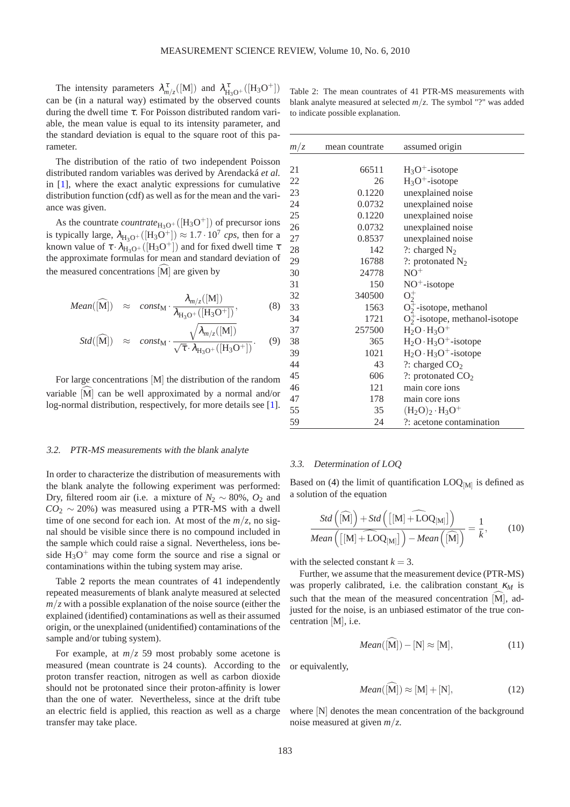The intensity parameters  $\lambda_{m/z}^{\tau}([M])$  and  $\lambda_{H_3O^+}^{\tau}([H_3O^+])$ can be (in a natural way) estimated by the observed counts during the dwell time  $\tau$ . For Poisson distributed random variable, the mean value is equal to its intensity parameter, and the standard deviation is equal to the square root of this parameter.

The distribution of the ratio of two independent Poisson distributed random variables was derived by Arendacká *et al.* in [\[1\]](#page-7-2), where the exact analytic expressions for cumulative distribution function (cdf) as well as for the mean and the variance was given.

As the countrate *countrate*<sub>H<sub>3</sub>O<sup>+</sup></sub> ([H<sub>3</sub>O<sup>+</sup>]) of precursor ions is typically large,  $\lambda_{H_3O^+}([H_3O^+]) \approx 1.7 \cdot 10^7$  cps, then for a known value of  $\tau \cdot \lambda_{H_3O^+}([H_3O^+])$  and for fixed dwell time  $\tau$ the approximate formulas for mean and standard deviation of the measured concentrations  $[M]$  are given by

<span id="page-3-2"></span>
$$
Mean([\widehat{M}]) \approx const_{M} \cdot \frac{\lambda_{m/z}([M])}{\lambda_{H_3O^+}([H_3O^+])},
$$
 (8)

$$
Std([\widehat{M}]) \approx const_{M} \cdot \frac{\sqrt{\lambda_{m/z}([M])}}{\sqrt{\tau} \cdot \lambda_{H_3O^+}([H_3O^+])}. \quad (9)
$$

For large concentrations [M] the distribution of the random variable  $[M]$  can be well approximated by a normal and/or log-normal distribution, respectively, for more details see [\[1\]](#page-7-2).

## 3.2. PTR-MS measurements with the blank analyte

In order to characterize the distribution of measurements with the blank analyte the following experiment was performed: Dry, filtered room air (i.e. a mixture of  $N_2 \sim 80\%$ ,  $O_2$  and  $CO_2 \sim 20\%$ ) was measured using a PTR-MS with a dwell time of one second for each ion. At most of the  $m/z$ , no signal should be visible since there is no compound included in the sample which could raise a signal. Nevertheless, ions beside  $H_3O^+$  may come form the source and rise a signal or contaminations within the tubing system may arise.

Table [2](#page-3-0) reports the mean countrates of 41 independently repeated measurements of blank analyte measured at selected  $m/z$  with a possible explanation of the noise source (either the explained (identified) contaminations as well as their assumed origin, or the unexplained (unidentified) contaminations of the sample and/or tubing system).

For example, at  $m/z$  59 most probably some acetone is measured (mean countrate is 24 counts). According to the proton transfer reaction, nitrogen as well as carbon dioxide should not be protonated since their proton-affinity is lower than the one of water. Nevertheless, since at the drift tube an electric field is applied, this reaction as well as a charge transfer may take place.

<span id="page-3-0"></span>Table 2: The mean countrates of 41 PTR-MS measurements with blank analyte measured at selected *m*/*z*. The symbol "?" was added to indicate possible explanation.

| m/z | mean countrate | assumed origin                     |
|-----|----------------|------------------------------------|
|     |                |                                    |
| 21  | 66511          | $H_3O^+$ -isotope                  |
| 22  | 26             | $H_3O^+$ -isotope                  |
| 23  | 0.1220         | unexplained noise                  |
| 24  | 0.0732         | unexplained noise                  |
| 25  | 0.1220         | unexplained noise                  |
| 26  | 0.0732         | unexplained noise                  |
| 27  | 0.8537         | unexplained noise                  |
| 28  | 142            | ?: charged $N_2$                   |
| 29  | 16788          | ?: protonated $N_2$                |
| 30  | 24778          | $NO+$                              |
| 31  | 150            | $NO^+$ -isotope                    |
| 32  | 340500         | $O_2^+$                            |
| 33  | 1563           | $O_2^+$ -isotope, methanol         |
| 34  | 1721           | $O_2^+$ -isotope, methanol-isotope |
| 37  | 257500         | $H_2O \cdot H_3O^+$                |
| 38  | 365            | $H_2O \cdot H_3O^+$ -isotope       |
| 39  | 1021           | $H_2O \cdot H_3O^+$ -isotope       |
| 44  | 43             | ?: charged $CO2$                   |
| 45  | 606            | ?: protonated $CO2$                |
| 46  | 121            | main core ions                     |
| 47  | 178            | main core ions                     |
| 55  | 35             | $(H_2O)_2 \cdot H_3O^+$            |
| 59  | 24             | ?: acetone contamination           |
|     |                |                                    |

## 3.3. Determination of LOQ

Based on [\(4\)](#page-1-2) the limit of quantification  $\text{LOQ}_{[M]}$  is defined as a solution of the equation

<span id="page-3-1"></span>
$$
\frac{Std\left(\widehat{[M]}\right) + Std\left(\left[\left[M\right] + \widehat{LOQ}_{[M]}\right]\right)}{Mean\left(\left[\left[M\right] + \widehat{LOQ}_{[M]}\right]\right) - Mean\left(\widehat{[M]}\right)} = \frac{1}{k},\qquad(10)
$$

with the selected constant  $k = 3$ .

Further, we assume that the measurement device (PTR-MS) was properly calibrated, i.e. the calibration constant <sup>κ</sup>*<sup>M</sup>* is such that the mean of the measured concentration  $[M]$ , adjusted for the noise, is an unbiased estimator of the true concentration [M], i.e.

$$
Mean([M]) - [N] \approx [M], \tag{11}
$$

or equivalently,

<span id="page-3-3"></span>
$$
Mean([\widehat{M}]) \approx [M] + [N], \tag{12}
$$

where  $[N]$  denotes the mean concentration of the background noise measured at given *m*/*z*.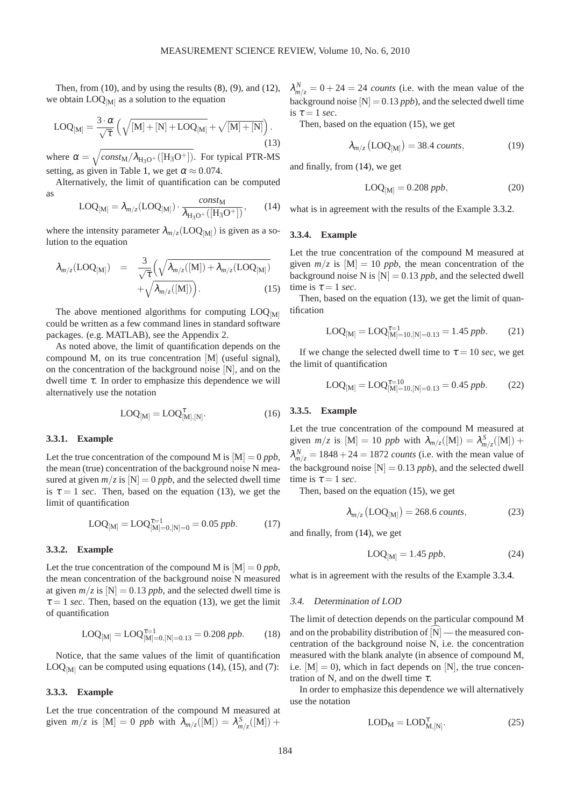Then, from  $(10)$ , and by using the results  $(8)$ ,  $(9)$ , and  $(12)$ , we obtain  $LOG_{[M]}$  as a solution to the equation

<span id="page-4-0"></span>
$$
LOQ_{[M]} = \frac{3 \cdot \alpha}{\sqrt{\tau}} \left( \sqrt{[M] + [N] + LOQ_{[M]}} + \sqrt{[M] + [N]} \right).
$$
\n(13)

where  $\alpha = \sqrt{\frac{\text{const}_{M}/\lambda_{H_3O} + (\text{[H}_3O^+)]}{H_3O^+}}$ . For typical PTR-MS setting, as given in Table [1,](#page-1-0) we get  $\alpha \approx 0.074$ .

Alternatively, the limit of quantification can be computed as

<span id="page-4-1"></span>
$$
LOQ_{[M]} = \lambda_{m/z} (LOQ_{[M]}) \cdot \frac{const_M}{\lambda_{H_3O^+}([H_3O^+])},\qquad(14)
$$

where the intensity parameter  $\lambda_{m/z} (LOQ_{[M]})$  is given as a solution to the equation

<span id="page-4-2"></span>
$$
\lambda_{m/z}(\text{LOQ}_{[M]}) = \frac{3}{\sqrt{\tau}} \left( \sqrt{\lambda_{m/z}([M]) + \lambda_{m/z}(\text{LOQ}_{[M]})} + \sqrt{\lambda_{m/z}([M])} \right). \tag{15}
$$

The above mentioned algorithms for computing  $\text{LOQ}_{\text{[M]}}$ could be written as a few command lines in standard software packages. (e.g. MATLAB), see the Appendix 2.

As noted above, the limit of quantification depends on the compound M, on its true concentration [M] (useful signal), on the concentration of the background noise [N], and on the dwell time <sup>τ</sup>. In order to emphasize this dependence we will alternatively use the notation

$$
LOQ_{[M]} = LOQ^{\tau}_{[M],[N]}.
$$
 (16)

# **3.3.1. Example**

Let the true concentration of the compound M is  $[M] = 0$  *ppb*. the mean (true) concentration of the background noise N measured at given  $m/z$  is  $[N] = 0$  *ppb*, and the selected dwell time is  $\tau = 1$  *sec*. Then, based on the equation [\(13\)](#page-4-0), we get the limit of quantification

$$
LOQ_{[M]} = LOQ_{[M]=0,[N]=0}^{\tau=1} = 0.05 \; ppb. \tag{17}
$$

## <span id="page-4-3"></span>**3.3.2. Example**

Let the true concentration of the compound M is  $[M] = 0$  *ppb*, the mean concentration of the background noise N measured at given  $m/z$  is  $[N] = 0.13$  *ppb*, and the selected dwell time is  $\tau = 1$  *sec*. Then, based on the equation [\(13\)](#page-4-0), we get the limit of quantification

$$
LOQ_{[M]} = LOQ_{[M]=0,[N]=0.13}^{\tau=1} = 0.208 \; ppb. \tag{18}
$$

Notice, that the same values of the limit of quantification  $\text{LOQ}_{\text{[M]}}$  can be computed using equations [\(14\)](#page-4-1), [\(15\)](#page-4-2), and [\(7\)](#page-2-2):

#### **3.3.3. Example**

Let the true concentration of the compound M measured at given  $m/z$  is  $[M] = 0$  ppb with  $\lambda_{m/z}([M]) = \lambda_{m/z}^S([M]) +$ 

 $\lambda_{m/z}^N = 0 + 24 = 24$  *counts* (i.e. with the mean value of the background noise  $[N] = 0.13$  *ppb*), and the selected dwell time is  $\tau = 1$  *sec.* 

Then, based on the equation [\(15\)](#page-4-2), we get

$$
\lambda_{m/z} \left( \text{LOQ}_{\text{[M]}} \right) = 38.4 \text{ counts},\tag{19}
$$

and finally, from [\(14\)](#page-4-1), we get

$$
LOQ_{[M]} = 0.208 \, ppb,\tag{20}
$$

what is in agreement with the results of the Example [3.3.2.](#page-4-3)

# <span id="page-4-4"></span>**3.3.4. Example**

Let the true concentration of the compound M measured at given  $m/z$  is  $[M] = 10$  *ppb*, the mean concentration of the background noise N is  $[N] = 0.13$  *ppb*, and the selected dwell time is  $\tau = 1$  *sec.* 

Then, based on the equation [\(13\)](#page-4-0), we get the limit of quantification

$$
LOQ_{[M]} = LOQ_{[M]=10,[N]=0.13}^{\tau=1} = 1.45 \, ppb. \tag{21}
$$

If we change the selected dwell time to  $\tau = 10$  *sec*, we get the limit of quantification

$$
LOQ_{[M]} = LOQ_{[M]=10,[N]=0.13}^{\tau=10} = 0.45 \; ppb. \tag{22}
$$

## **3.3.5. Example**

Let the true concentration of the compound M measured at given  $m/z$  is  $[M] = 10$  ppb with  $\lambda_{m/z}([M]) = \lambda_{m/z}^S([M]) +$  $\lambda_{m/z}^N = 1848 + 24 = 1872$  *counts* (i.e. with the mean value of the background noise  $[N] = 0.13$  *ppb*), and the selected dwell time is  $\tau = 1$  *sec.* 

Then, based on the equation [\(15\)](#page-4-2), we get

$$
\lambda_{m/z} \left( \text{LOQ}_{\text{[M]}} \right) = 268.6 \text{ counts},\tag{23}
$$

and finally, from [\(14\)](#page-4-1), we get

$$
LOQ_{[M]} = 1.45 \, ppb,\t(24)
$$

what is in agreement with the results of the Example [3.3.4.](#page-4-4)

#### 3.4. Determination of LOD

The limit of detection depends on the particular compound M and on the probability distribution of  $[N]$  — the measured concentration of the background noise N, i.e. the concentration measured with the blank analyte (in absence of compound M, i.e.  $[M] = 0$ , which in fact depends on [N], the true concentration of N, and on the dwell time  $\tau$ .

In order to emphasize this dependence we will alternatively use the notation

$$
LOD_M = LOD_{M,[N]}^{\tau}.
$$
 (25)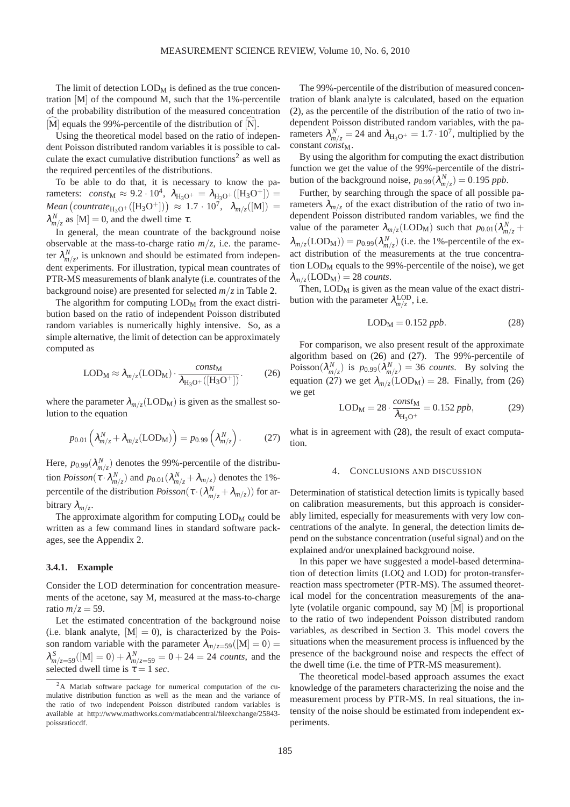The limit of detection  $\text{LOD}_M$  is defined as the true concentration [M] of the compound M, such that the 1%-percentile of the probability distribution of the measured concentration  $[\widehat{M}]$  equals the 99%-percentile of the distribution of  $[\widehat{N}]$ .

Using the theoretical model based on the ratio of independent Poisson distributed random variables it is possible to cal-culate the exact cumulative distribution functions<sup>[2](#page-5-0)</sup> as well as the required percentiles of the distributions.

To be able to do that, it is necessary to know the parameters: *const*<sub>M</sub>  $\approx 9.2 \cdot 10^4$ ,  $\lambda_{H_3O^+} = \lambda_{H_3O^+}([H_3O^+])$  =  $Mean\left(countrate_{H_3O^+}([H_3O^+])\right) \approx 1.7 \cdot 10^7, \ \ \lambda_{m/z}([M]) =$  $\lambda_{m/z}^N$  as [M] = 0, and the dwell time  $\tau$ .

In general, the mean countrate of the background noise observable at the mass-to-charge ratio  $m/z$ , i.e. the parameter  $\lambda_{m/z}^N$ , is unknown and should be estimated from independent experiments. For illustration, typical mean countrates of PTR-MS measurements of blank analyte (i.e. countrates of the background noise) are presented for selected  $m/z$  in Table [2.](#page-3-0)

The algorithm for computing  $\text{LOD}_M$  from the exact distribution based on the ratio of independent Poisson distributed random variables is numerically highly intensive. So, as a simple alternative, the limit of detection can be approximately computed as

<span id="page-5-1"></span>
$$
LOD_M \approx \lambda_{m/z} (LOD_M) \cdot \frac{const_M}{\lambda_{H_3O^+}([H_3O^+])}.
$$
 (26)

where the parameter  $\lambda_{m/z}$  (LOD<sub>M</sub>) is given as the smallest solution to the equation

<span id="page-5-2"></span>
$$
p_{0.01} \left( \lambda_{m/z}^N + \lambda_{m/z} (LOD_M) \right) = p_{0.99} \left( \lambda_{m/z}^N \right). \tag{27}
$$

Here,  $p_{0.99}(\lambda_{m/z}^N)$  denotes the 99%-percentile of the distribution  $Poisson(\tau \cdot \lambda_{m/z}^N)$  and  $p_{0.01}(\lambda_{m/z}^N + \lambda_{m/z})$  denotes the 1%percentile of the distribution  $Poisson(\tau \cdot (\lambda_{m/z}^N + \lambda_{m/z}))$  for arbitrary <sup>λ</sup>*m*/*<sup>z</sup>* .

The approximate algorithm for computing  $\text{LOD}_M$  could be written as a few command lines in standard software packages, see the Appendix 2.

# **3.4.1. Example**

Consider the LOD determination for concentration measurements of the acetone, say M, measured at the mass-to-charge ratio  $m/z = 59$ .

Let the estimated concentration of the background noise (i.e. blank analyte,  $[M] = 0$ ), is characterized by the Poisson random variable with the parameter  $\lambda_{m/z=59}([M] = 0)$  =  $\lambda_{m/z=59}^{S}([M] = 0) + \lambda_{m/z=59}^{N} = 0 + 24 = 24$  *counts*, and the selected dwell time is  $\tau = 1$  *sec.* 

The 99%-percentile of the distribution of measured concentration of blank analyte is calculated, based on the equation [\(2\)](#page-0-2), as the percentile of the distribution of the ratio of two independent Poisson distributed random variables, with the parameters  $\lambda_{m/z}^N = 24$  and  $\lambda_{H_3O^+} = 1.7 \cdot 10^7$ , multiplied by the constant *const*<sub>M</sub>.

By using the algorithm for computing the exact distribution function we get the value of the 99%-percentile of the distribution of the background noise,  $p_{0.99}(\lambda_{m/z}^N) = 0.195$  *ppb*.

Further, by searching through the space of all possible parameters  $\lambda_{m/z}$  of the exact distribution of the ratio of two independent Poisson distributed random variables, we find the value of the parameter  $\lambda_{m/z}$ (LOD<sub>M</sub>) such that  $p_{0.01}(\lambda_{m/z}^N +$  $\lambda_{m/z}(\text{LOD}_M)) = p_{0.99}(\lambda_{m/z}^N)$  (i.e. the 1%-percentile of the exact distribution of the measurements at the true concentration  $\text{LOD}_M$  equals to the 99%-percentile of the noise), we get  $\lambda_{m/z}(\text{LOD}_M) = 28 \text{ counts}.$ 

Then,  $\text{LOD}_M$  is given as the mean value of the exact distribution with the parameter  $\lambda_{m/z}^{\text{LOD}}$ , i.e.

<span id="page-5-3"></span>
$$
LODM = 0.152 ppb.
$$
 (28)

For comparison, we also present result of the approximate algorithm based on [\(26\)](#page-5-1) and [\(27\)](#page-5-2). The 99%-percentile of Poisson $(\lambda_{m/z}^N)$  is  $p_{0.99}(\lambda_{m/z}^N) = 36$  *counts*. By solving the equation [\(27\)](#page-5-2) we get  $\lambda_{m/z}(\text{LOD}_M) = 28$ . Finally, from [\(26\)](#page-5-1) we get

$$
LODM = 28 \cdot \frac{const_{\rm M}}{\lambda_{\rm H_3O^+}} = 0.152 \, ppb,
$$
 (29)

what is in agreement with  $(28)$ , the result of exact computation.

## 4. CONCLUSIONS AND DISCUSSION

Determination of statistical detection limits is typically based on calibration measurements, but this approach is considerably limited, especially for measurements with very low concentrations of the analyte. In general, the detection limits depend on the substance concentration (useful signal) and on the explained and/or unexplained background noise.

In this paper we have suggested a model-based determination of detection limits (LOQ and LOD) for proton-transferreaction mass spectrometer (PTR-MS). The assumed theoretical model for the concentration measurements of the analyte (volatile organic compound, say  $M$ ) [M] is proportional to the ratio of two independent Poisson distributed random variables, as described in Section 3. This model covers the situations when the measurement process is influenced by the presence of the background noise and respects the effect of the dwell time (i.e. the time of PTR-MS measurement).

The theoretical model-based approach assumes the exact knowledge of the parameters characterizing the noise and the measurement process by PTR-MS. In real situations, the intensity of the noise should be estimated from independent experiments.

<span id="page-5-0"></span> $2A$  Matlab software package for numerical computation of the cumulative distribution function as well as the mean and the variance of the ratio of two independent Poisson distributed random variables is available at http://www.mathworks.com/matlabcentral/fileexchange/25843 poissratiocdf.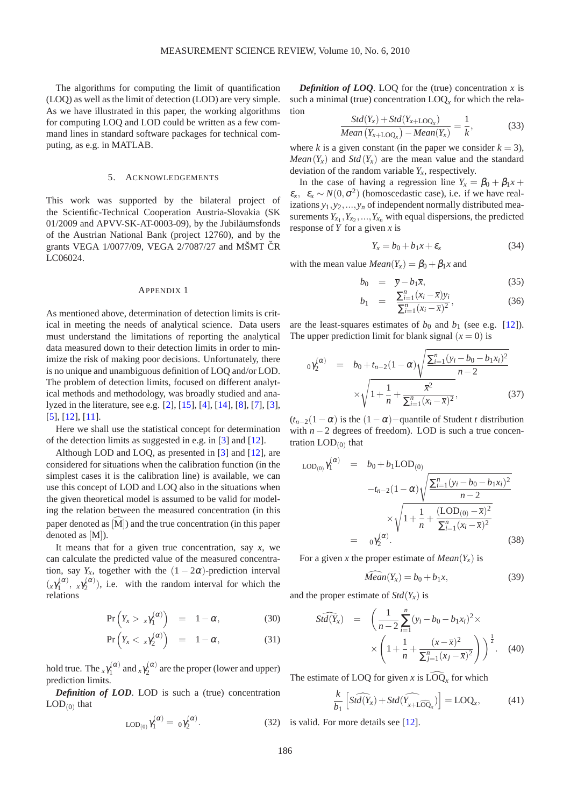The algorithms for computing the limit of quantification (LOQ) as well as the limit of detection (LOD) are very simple. As we have illustrated in this paper, the working algorithms for computing LOQ and LOD could be written as a few command lines in standard software packages for technical computing, as e.g. in MATLAB.

## 5. ACKNOWLEDGEMENTS

This work was supported by the bilateral project of the Scientific-Technical Cooperation Austria-Slovakia (SK 01/2009 and APVV-SK-AT-0003-09), by the Jubiläumsfonds of the Austrian National Bank (project 12760), and by the grants VEGA  $1/0077/09$ , VEGA  $2/7087/27$  and MŠMT ČR LC06024.

## APPENDIX 1

As mentioned above, determination of detection limits is critical in meeting the needs of analytical science. Data users must understand the limitations of reporting the analytical data measured down to their detection limits in order to minimize the risk of making poor decisions. Unfortunately, there is no unique and unambiguous definition of LOQ and/or LOD. The problem of detection limits, focused on different analytical methods and methodology, was broadly studied and analyzed in the literature, see e.g. [\[2\]](#page-7-3), [\[15\]](#page-8-6), [\[4\]](#page-7-4), [\[14\]](#page-8-9), [\[8\]](#page-8-10), [\[7\]](#page-8-2), [\[3\]](#page-7-5), [\[5\]](#page-7-0), [\[12\]](#page-8-11), [\[11\]](#page-8-12).

Here we shall use the statistical concept for determination of the detection limits as suggested in e.g. in [\[3\]](#page-7-5) and [\[12\]](#page-8-11).

Although LOD and LOQ, as presented in [\[3\]](#page-7-5) and [\[12\]](#page-8-11), are considered for situations when the calibration function (in the simplest cases it is the calibration line) is available, we can use this concept of LOD and LOQ also in the situations when the given theoretical model is assumed to be valid for modeling the relation between the measured concentration (in this paper denoted as  $[M]$ ) and the true concentration (in this paper denoted as [M]).

It means that for a given true concentration, say *x*, we can calculate the predicted value of the measured concentration, say  $Y_x$ , together with the  $(1 - 2\alpha)$ -prediction interval  $\left(x\gamma_1^{(\alpha)}\right)$  $\gamma_1^{(\alpha)}, \; x \gamma_2^{(\alpha)}$  $\chi_2^{(\alpha)}$ ), i.e. with the random interval for which the relations

$$
Pr\left(Y_x > x\gamma_1^{(\alpha)}\right) = 1 - \alpha, \tag{30}
$$

$$
\Pr\left(Y_x < x\gamma_2^{(\alpha)}\right) = 1 - \alpha,\tag{31}
$$

hold true. The  $_{x}\gamma_{1}^{(\alpha)}$  $\gamma_1^{(\alpha)}$  and  $_\text{x}\gamma_2^{(\alpha)}$  $\chi^{(\alpha)}_2$  are the proper (lower and upper) prediction limits.

*Definition of LOD*. LOD is such a (true) concentration  $\text{LOD}_{(0)}$  that

$$
LOD_{(0)}\gamma_1^{(\alpha)} = 0\gamma_2^{(\alpha)}.
$$
 (32)

*Definition of LOQ.* LOQ for the (true) concentration  $x$  is such a minimal (true) concentration  $\text{LOQ}_x$  for which the relation

$$
\frac{Std(Y_x) + Std(Y_{x+LOQ_x})}{Mean(Y_{x+LOQ_x}) - Mean(Y_x)} = \frac{1}{k},
$$
\n(33)

where *k* is a given constant (in the paper we consider  $k = 3$ ), *Mean*( $Y_x$ ) and *Std*( $Y_x$ ) are the mean value and the standard deviation of the random variable  $Y_x$ , respectively.

In the case of having a regression line  $Y_x = \beta_0 + \beta_1 x + \beta_2 x$  $\varepsilon_x$ ,  $\varepsilon_x \sim N(0, \sigma^2)$  (homoscedastic case), i.e. if we have realizations *y*1,*y*2,...,*y<sup>n</sup>* of independent normally distributed measurements  $Y_{x_1}, Y_{x_2}, \ldots, Y_{x_n}$  with equal dispersions, the predicted response of *Y* for a given *x* is

$$
Y_x = b_0 + b_1 x + \varepsilon_x \tag{34}
$$

with the mean value  $Mean(Y_x) = \beta_0 + \beta_1 x$  and

$$
b_0 = \bar{y} - b_1 \bar{x}, \qquad (35)
$$
\n
$$
\sum_{k=1}^{n} (x_k - \bar{x}) y_k
$$

$$
b_1 = \frac{\sum_{i=1}^n (x_i - \bar{x}) y_i}{\sum_{i=1}^n (x_i - \bar{x})^2},
$$
\n(36)

are the least-squares estimates of  $b_0$  and  $b_1$  (see e.g. [\[12\]](#page-8-11)). The upper prediction limit for blank signal  $(x = 0)$  is

$$
0\gamma_2^{(\alpha)} = b_0 + t_{n-2}(1-\alpha)\sqrt{\frac{\sum_{i=1}^n (y_i - b_0 - b_1 x_i)^2}{n-2}}
$$

$$
\times \sqrt{1 + \frac{1}{n} + \frac{\overline{x}^2}{\sum_{i=1}^n (x_i - \overline{x})^2}},
$$
(37)

 $(t_{n-2}(1-\alpha))$  is the  $(1-\alpha)$ –quantile of Student *t* distribution with  $n - 2$  degrees of freedom). LOD is such a true concentration  $\text{LOD}_{(0)}$  that

$$
LOD_{(0)}\gamma_1^{(\alpha)} = b_0 + b_1LOD_{(0)}
$$
  

$$
-t_{n-2}(1-\alpha)\sqrt{\frac{\sum_{i=1}^{n}(y_i - b_0 - b_1x_i)^2}{n-2}}
$$
  

$$
\times\sqrt{1 + \frac{1}{n} + \frac{(LOD_{(0)} - \bar{x})^2}{\sum_{i=1}^{n}(x_i - \bar{x})^2}}
$$
  

$$
= 0\gamma_2^{(\alpha)}.
$$
 (38)

For a given *x* the proper estimate of  $Mean(Y_x)$  is

$$
Mean(Y_x) = b_0 + b_1 x,\tag{39}
$$

and the proper estimate of  $Std(Y_x)$  is

$$
\widehat{Std(Y_x)} = \left( \frac{1}{n-2} \sum_{i=1}^{n} (y_i - b_0 - b_1 x_i)^2 \times \right) \times \left( 1 + \frac{1}{n} + \frac{(x - \overline{x})^2}{\sum_{j=1}^{n} (x_j - \overline{x})^2} \right) \right)^{\frac{1}{2}}.
$$
 (40)

The estimate of LOQ for given  $x$  is  $\text{LOQ}_x$  for which

$$
\frac{k}{b_1} \left[ \widehat{Std(Y_x)} + Std(\widehat{Y_{x+LOQ_x}}) \right] = LOQ_x, \tag{41}
$$

2) is valid. For more details see  $[12]$ .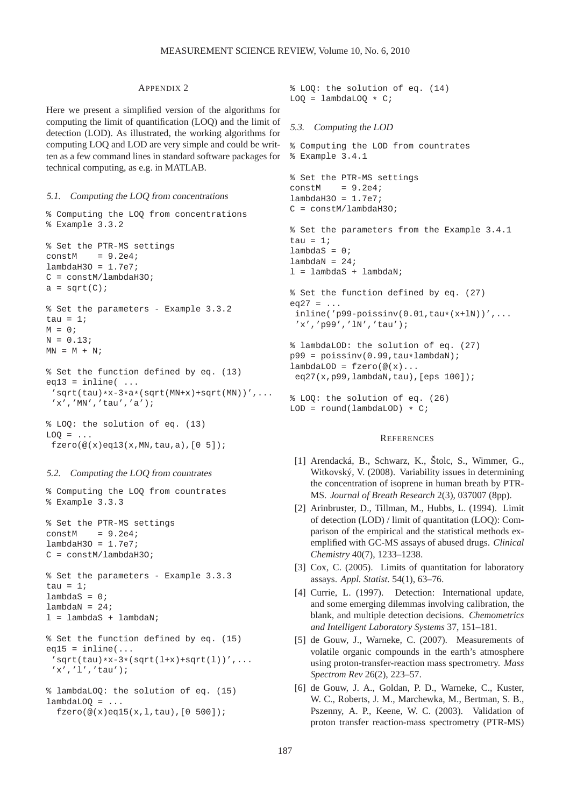## APPENDIX 2

Here we present a simplified version of the algorithms for computing the limit of quantification (LOQ) and the limit of detection (LOD). As illustrated, the working algorithms for computing LOQ and LOD are very simple and could be written as a few command lines in standard software packages for technical computing, as e.g. in MATLAB.

## 5.1. Computing the LOQ from concentrations

```
% Computing the LOQ from concentrations
% Example 3.3.2
% Set the PTR-MS settings
constM = 9.2e4;
lambdaH3O = 1.7e7;
C = constM/lambdaH3O;
a = sqrt(C);% Set the parameters - Example 3.3.2
tau = 1;
M = 0;N = 0.13MN = M + N;% Set the function defined by eq. (13)
eq13 = inline( ...'sqrt(tau)*x-3*a*(sqrt(MN+x)+sqrt(MN))',...
 'x','MN','tau','a');
% LOQ: the solution of eq. (13)
LOQ = ...fzero(@(x) eq13(x, MN, tau, a), [0 5]);
```
## 5.2. Computing the LOQ from countrates

```
% Computing the LOQ from countrates
% Example 3.3.3
```

```
% Set the PTR-MS settings
constM = 9.264lambdaH3O = 1.7e7C = constM/lambdaH3O;
```

```
% Set the parameters - Example 3.3.3
tau = 1;
lambdaS = 0;lambda = 24;
l = lambdaS + lambdaN;
```

```
% Set the function defined by eq. (15)
eq15 = inline(...
 'sqrt(tau(tau)*x-3*(sqrt(1+x)+sqrt(1)))',...'x','l','tau');
```

```
% lambdaLOQ: the solution of eq. (15)
lambdaLOQ = ...fzero(@(x)eq15(x,l,tau),[0 500]);
```
% LOQ: the solution of eq. (14)  $LOQ =$  lambdaLOQ  $\star$  C;

# 5.3. Computing the LOD

```
% Computing the LOD from countrates
% Example 3.4.1
% Set the PTR-MS settings
constM = 9.2e4;lambdaH3O = 1.7e7;C = constM/lambdaH3O;
% Set the parameters from the Example 3.4.1
tau = 1;
lambdaS = 0;lambda = 24;
l = lambdaS + lambdaN;
% Set the function defined by eq. (27)
eq27 = ...inline('p99-poissinv(0.01,tau*(x+1N))',...'x','p99','lN','tau');
% lambdaLOD: the solution of eq. (27)
p99 = \text{poissinv}(0.99, \text{tau*lambdaM});lambdaLOD = fzero(\mathcal{Q}(x)...eq27(x, p99, lambdaN, tau), [eps 100]);
% LOQ: the solution of eq. (26)
```
## **REFERENCES**

 $LOD = round(lambdaLOD) * C;$ 

- <span id="page-7-2"></span>[1] Arendacká, B., Schwarz, K., Štolc, S., Wimmer, G., Witkovský, V. (2008). Variability issues in determining the concentration of isoprene in human breath by PTR-MS. *Journal of Breath Research* 2(3), 037007 (8pp).
- <span id="page-7-3"></span>[2] Arinbruster, D., Tillman, M., Hubbs, L. (1994). Limit of detection (LOD) / limit of quantitation (LOQ): Comparison of the empirical and the statistical methods exemplified with GC-MS assays of abused drugs. *Clinical Chemistry* 40(7), 1233–1238.
- <span id="page-7-5"></span>[3] Cox, C. (2005). Limits of quantitation for laboratory assays. *Appl. Statist.* 54(1), 63–76.
- <span id="page-7-4"></span>[4] Currie, L. (1997). Detection: International update, and some emerging dilemmas involving calibration, the blank, and multiple detection decisions. *Chemometrics and Intelligent Laboratory Systems* 37, 151–181.
- <span id="page-7-0"></span>[5] de Gouw, J., Warneke, C. (2007). Measurements of volatile organic compounds in the earth's atmosphere using proton-transfer-reaction mass spectrometry. *Mass Spectrom Rev* 26(2), 223–57.
- <span id="page-7-1"></span>[6] de Gouw, J. A., Goldan, P. D., Warneke, C., Kuster, W. C., Roberts, J. M., Marchewka, M., Bertman, S. B., Pszenny, A. P., Keene, W. C. (2003). Validation of proton transfer reaction-mass spectrometry (PTR-MS)